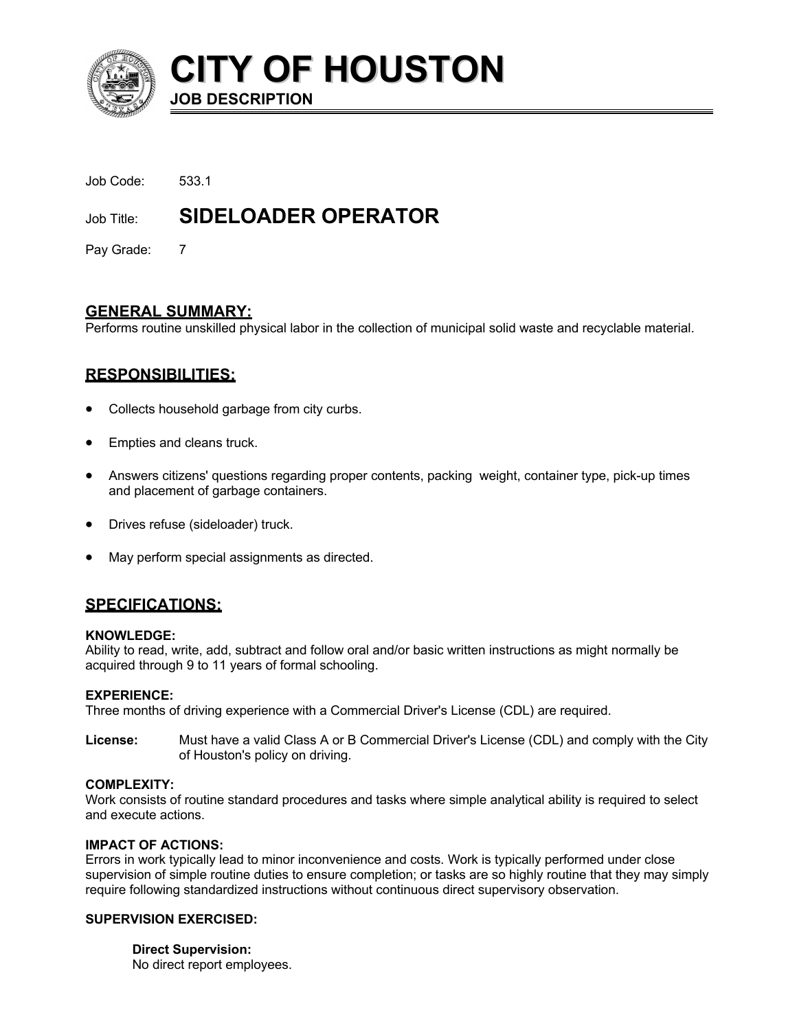

**CITY OF HOUSTON JOB DESCRIPTION**

| Job Title: | <b>SIDELOADER OPERATOR</b> |
|------------|----------------------------|
| Job Code:  | 533.1                      |

Pay Grade: 7

## **GENERAL SUMMARY:**

Performs routine unskilled physical labor in the collection of municipal solid waste and recyclable material.

## **RESPONSIBILITIES:**

- Collects household garbage from city curbs.
- Empties and cleans truck.
- Answers citizens' questions regarding proper contents, packing weight, container type, pick-up times and placement of garbage containers.
- Drives refuse (sideloader) truck.
- May perform special assignments as directed.

## **SPECIFICATIONS:**

#### **KNOWLEDGE:**

Ability to read, write, add, subtract and follow oral and/or basic written instructions as might normally be acquired through 9 to 11 years of formal schooling.

## **EXPERIENCE:**

Three months of driving experience with a Commercial Driver's License (CDL) are required.

**License:** Must have a valid Class A or B Commercial Driver's License (CDL) and comply with the City of Houston's policy on driving.

## **COMPLEXITY:**

Work consists of routine standard procedures and tasks where simple analytical ability is required to select and execute actions.

#### **IMPACT OF ACTIONS:**

Errors in work typically lead to minor inconvenience and costs. Work is typically performed under close supervision of simple routine duties to ensure completion; or tasks are so highly routine that they may simply require following standardized instructions without continuous direct supervisory observation.

## **SUPERVISION EXERCISED:**

**Direct Supervision:** No direct report employees.